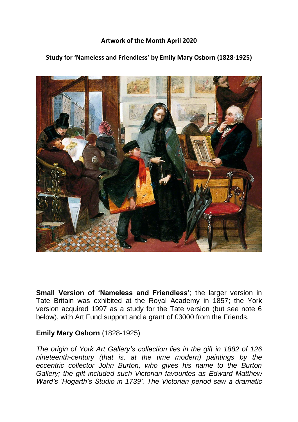## **Artwork of the Month April 2020**

## **Study for 'Nameless and Friendless' by Emily Mary Osborn (1828-1925)**



**Small Version of 'Nameless and Friendless'**; the larger version in Tate Britain was exhibited at the Royal Academy in 1857; the York version acquired 1997 as a study for the Tate version (but see note 6 below), with Art Fund support and a grant of £3000 from the Friends.

## **Emily Mary Osborn** (1828-1925)

*The origin of York Art Gallery's collection lies in the gift in 1882 of 126 nineteenth-century (that is, at the time modern) paintings by the eccentric collector John Burton, who gives his name to the Burton Gallery; the gift included such Victorian favourites as Edward Matthew Ward's 'Hogarth's Studio in 1739'. The Victorian period saw a dramatic*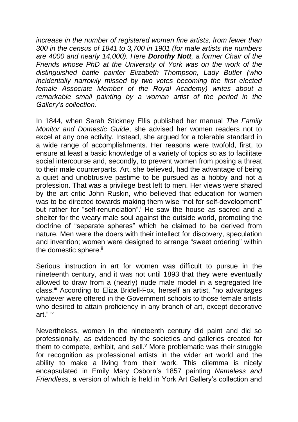*increase in the number of registered women fine artists, from fewer than 300 in the census of 1841 to 3,700 in 1901 (for male artists the numbers are 4000 and nearly 14,000). Here Dorothy Nott, a former Chair of the Friends whose PhD at the University of York was on the work of the distinguished battle painter Elizabeth Thompson, Lady Butler (who incidentally narrowly missed by two votes becoming the first elected female Associate Member of the Royal Academy) writes about a remarkable small painting by a woman artist of the period in the Gallery's collection.*

In 1844, when Sarah Stickney Ellis published her manual *The Family Monitor and Domestic Guide*, she advised her women readers not to excel at any one activity. Instead, she argued for a tolerable standard in a wide range of accomplishments. Her reasons were twofold, first, to ensure at least a basic knowledge of a variety of topics so as to facilitate social intercourse and, secondly, to prevent women from posing a threat to their male counterparts. Art, she believed, had the advantage of being a quiet and unobtrusive pastime to be pursued as a hobby and not a profession. That was a privilege best left to men. Her views were shared by the art critic John Ruskin, who believed that education for women was to be directed towards making them wise "not for self-development" but rather for "self-renunciation". He saw the house as sacred and a shelter for the weary male soul against the outside world, promoting the doctrine of "separate spheres" which he claimed to be derived from nature. Men were the doers with their intellect for discovery, speculation and invention; women were designed to arrange "sweet ordering" within the domestic sphere.<sup>ii</sup>

Serious instruction in art for women was difficult to pursue in the nineteenth century, and it was not until 1893 that they were eventually allowed to draw from a (nearly) nude male model in a segregated life class.iii According to Eliza Bridell-Fox, herself an artist, "no advantages whatever were offered in the Government schools to those female artists who desired to attain proficiency in any branch of art, except decorative art." iv

Nevertheless, women in the nineteenth century did paint and did so professionally, as evidenced by the societies and galleries created for them to compete, exhibit, and sell. More problematic was their struggle for recognition as professional artists in the wider art world and the ability to make a living from their work. This dilemma is nicely encapsulated in Emily Mary Osborn's 1857 painting *Nameless and Friendless*, a version of which is held in York Art Gallery's collection and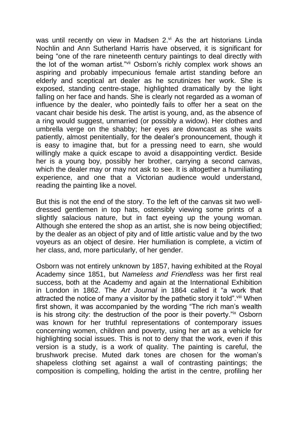was until recently on view in Madsen 2.<sup>vi</sup> As the art historians Linda Nochlin and Ann Sutherland Harris have observed, it is significant for being "one of the rare nineteenth century paintings to deal directly with the lot of the woman artist."vii Osborn's richly complex work shows an aspiring and probably impecunious female artist standing before an elderly and sceptical art dealer as he scrutinizes her work. She is exposed, standing centre-stage, highlighted dramatically by the light falling on her face and hands. She is clearly not regarded as a woman of influence by the dealer, who pointedly fails to offer her a seat on the vacant chair beside his desk. The artist is young, and, as the absence of a ring would suggest, unmarried (or possibly a widow). Her clothes and umbrella verge on the shabby; her eyes are downcast as she waits patiently, almost penitentially, for the dealer's pronouncement, though it is easy to imagine that, but for a pressing need to earn, she would willingly make a quick escape to avoid a disappointing verdict. Beside her is a young boy, possibly her brother, carrying a second canvas, which the dealer may or may not ask to see. It is altogether a humiliating experience, and one that a Victorian audience would understand, reading the painting like a novel.

But this is not the end of the story. To the left of the canvas sit two welldressed gentlemen in top hats, ostensibly viewing some prints of a slightly salacious nature, but in fact eyeing up the young woman. Although she entered the shop as an artist, she is now being objectified; by the dealer as an object of pity and of little artistic value and by the two voyeurs as an object of desire. Her humiliation is complete, a victim of her class, and, more particularly, of her gender.

Osborn was not entirely unknown by 1857, having exhibited at the Royal Academy since 1851, but *Nameless and Friendless* was her first real success, both at the Academy and again at the International Exhibition in London in 1862. The *Art Journal* in 1864 called it "a work that attracted the notice of many a visitor by the pathetic story it told". Viii When first shown, it was accompanied by the wording "The rich man's wealth is his strong city: the destruction of the poor is their poverty."ix Osborn was known for her truthful representations of contemporary issues concerning women, children and poverty, using her art as a vehicle for highlighting social issues. This is not to deny that the work, even if this version is a study, is a work of quality. The painting is careful, the brushwork precise. Muted dark tones are chosen for the woman's shapeless clothing set against a wall of contrasting paintings; the composition is compelling, holding the artist in the centre, profiling her